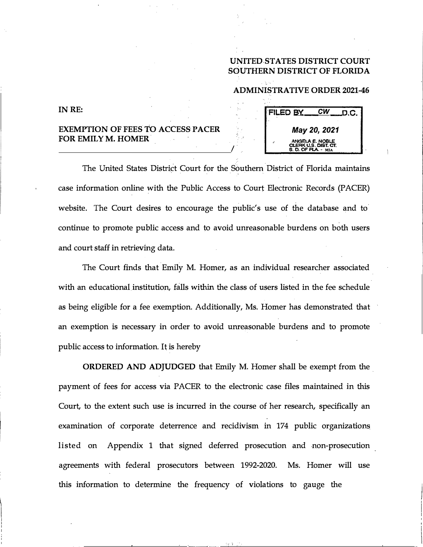## **UNITED STATES DISTRICT COURT SOUTHERN DISTRICT OF FLORIDA**

## **ADMINISTRATIVE ORDER 2021-46**

## **INRE:**

## **EXEMPTION OF FEES TO ACCESS PACER FOR EMILY M. HOMER.**

**·FILED BY** *CW* **D.C.** *May 20, 2021*  **ANGE\.A I:. NOBl..E CLERK U.S. DIST. CT. S. 0. OF Fl.A - MIA** 

The United States District Court for the Southern. District of Florida maintains case information online with the Public Access to Court Electronic Records (PACER) website. The Court desires **to** encourage the public's use of the database and to· continue to promote public access and **to** avoid unreasonable burdens on both users and court staff in retrieving data.

The Court finds that Emily M. Homer, as an individual researcher associated with an educational institution, falls within the class of users listed in the fee schedule as being eligible for a fee exemption. Additionally, Ms. Homer has demonstrated that an exemption is necessary in order to avoid unreasonable burdens and to promote public access to information. It is hereby

**ORDERED AND ADJUDGED** that Emily **M.** Homer shall be exempt from the . payment of fees for access via PACER **to** the electronic case files maintained in this Court, to the extent such use is incurred in the course of her research, specifically an examination of corporate deterrence and recidivism in 174 public organizations listed on Appendix 1 that signed deferred prosecution and non-prosecution agreements with federal prosecutors between 1992-2020. Ms. Homer will use this information to determine the frequency of violations **to** gauge the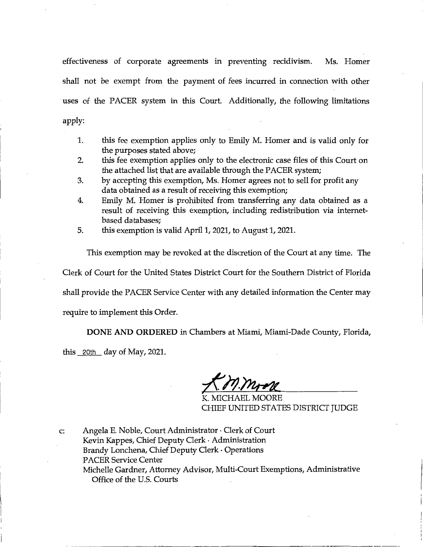effectiveness of corporate agreements in preventing recidivism. Ms. Homer shall not be exempt from the payment of fees incurred in connection with other uses of the PACER system in this Court. Additionally, the following limitations apply:

- 1. this fee exemption applies only to Emily M. Homer and is valid only for the purposes stated above;
- 2. this fee exemption applies only to the electronic case files of this Court on the attached list that are available through the PACER system;
- 3. by accepting this exemption, Ms. Homer agrees not to sell for profit any data obtained as a result of receiving this exemption;
- 4. Emily M. Homer is prohibited from transferring any data obtained as a result of receiving this exemption, including redistribution via internetbased databases;
- 5. this exemption is valid April 1, 2021, to August 1, 2021.

This exemption may be revoked at the discretion of the Court at any time. The

Clerk of Court for the United States District Court for the Southern District of Florida

shall provide the PACER Service Center with any detailed information the Center may

require to implement this Order.

**DONE AND ORDERED** in Chambers at Miami, Miami-Dade County, Florida,

this  $20th$  day of May, 2021.

K. MICHAEL MOORE CHIEF UNITED STATES DISTRICT JUDGE

c: Angela E. Noble, Court Administrator • Clerk of Court Kevin Kappes, Chief Deputy Clerk • Administration Brandy Lonchena, Chief Deputy Clerk • Operations PACER Service Center Michelle Gardner, Attorney Advisor, Multi-Court Exemptions, Administrative Office of the U.S. Courts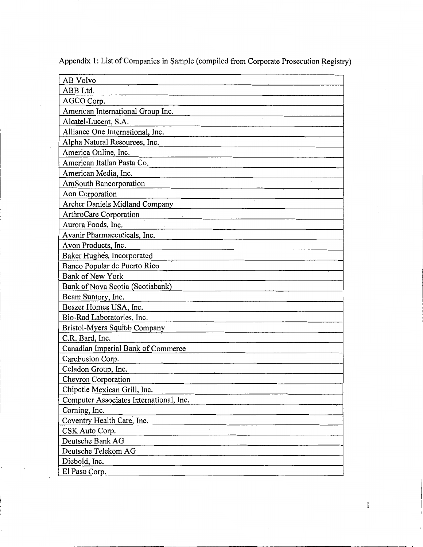| AB Volvo                                |
|-----------------------------------------|
| ABB Ltd.                                |
| AGCO Corp.                              |
| American International Group Inc.       |
| Alcatel-Lucent, S.A.                    |
| Alliance One International, Inc.        |
| Alpha Natural Resources, Inc.           |
| America Online, Inc.                    |
| American Italian Pasta Co.              |
| American Media, Inc.                    |
| <b>AmSouth Bancorporation</b>           |
| Aon Corporation                         |
| Archer Daniels Midland Company          |
| ArthroCare Corporation                  |
| Aurora Foods, Inc.                      |
| Avanir Pharmaceuticals, Inc.            |
| Avon Products, Inc.                     |
| Baker Hughes, Incorporated              |
| Banco Popular de Puerto Rico            |
| <b>Bank of New York</b>                 |
| Bank of Nova Scotia (Scotiabank)        |
| Beam Suntory, Inc.                      |
| Beazer Homes USA, Inc.                  |
| Bio-Rad Laboratories, Inc.              |
| Bristol-Myers Squibb Company            |
| C.R. Bard, Inc.                         |
| Canadian Imperial Bank of Commerce      |
| CareFusion Corp.                        |
| Celadon Group, Inc.                     |
| Chevron Corporation                     |
| Chipotle Mexican Grill, Inc.            |
| Computer Associates International, Inc. |
| Corning, Inc.                           |
| Coventry Health Care, Inc.              |
| CSK Auto Corp.                          |
| Deutsche Bank AG                        |
| Deutsche Telekom AG                     |
| Diebold, Inc.                           |
| El Paso Corp.                           |
|                                         |

k,

 $1\,$   $^{\circ}$ 

Appendix 1: List of Companies in Sample ( compiled from Corporate Prosecution Registry)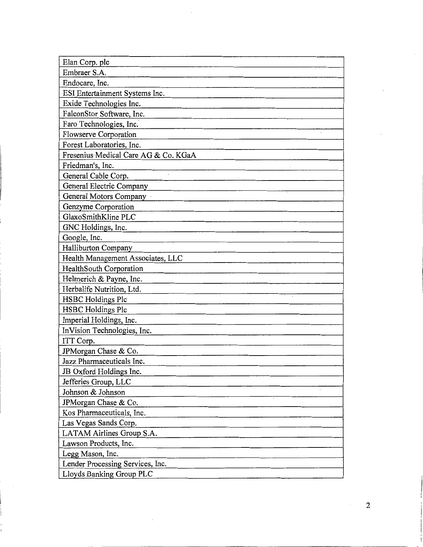| Elan Corp. plc                                               |
|--------------------------------------------------------------|
| Embraer S.A.                                                 |
| Endocare, Inc.                                               |
| ESI Entertainment Systems Inc.                               |
| Exide Technologies Inc.                                      |
| FalconStor Software, Inc.                                    |
| Faro Technologies, Inc.                                      |
| Flowserve Corporation                                        |
| Forest Laboratories, Inc.                                    |
| Fresenius Medical Care AG & Co. KGaA                         |
| Friedman's, Inc.                                             |
| $\bar{\mathbf{r}}$<br>General Cable Corp.                    |
| General Electric Company                                     |
| General Motors Company                                       |
| Genzyme Corporation                                          |
| GlaxoSmithKline PLC                                          |
| GNC Holdings, Inc.                                           |
| Google, Inc.                                                 |
| Halliburton Company                                          |
| Health Management Associates, LLC                            |
| HealthSouth Corporation                                      |
| Helmerich & Payne, Inc.                                      |
| Herbalife Nutrition, Ltd.                                    |
| <b>HSBC</b> Holdings Plc                                     |
| <b>HSBC Holdings Plc</b>                                     |
| Imperial Holdings, Inc.                                      |
| InVision Technologies, Inc.                                  |
| ITT Corp.                                                    |
| JPMorgan Chase & Co.                                         |
| Jazz Pharmaceuticals Inc.                                    |
| JB Oxford Holdings Inc.                                      |
| Jefferies Group, LLC                                         |
| Johnson & Johnson                                            |
| JPMorgan Chase & Co.                                         |
| Kos Pharmaceuticals, Inc.                                    |
| Las Vegas Sands Corp.                                        |
| LATAM Airlines Group S.A.                                    |
| Lawson Products, Inc.                                        |
| Legg Mason, Inc.                                             |
|                                                              |
| Lender Processing Services, Inc.<br>Lloyds Banking Group PLC |

 $\overline{\phantom{a}}$ 

2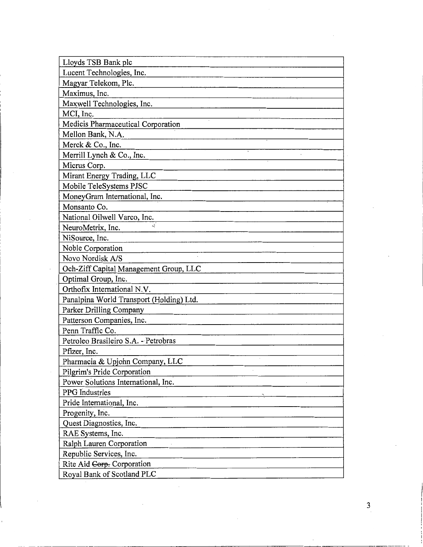| Lloyds TSB Bank plc                      |
|------------------------------------------|
| Lucent Technologies, Inc.                |
| Magyar Telekom, Plc.                     |
| Maximus, Inc.                            |
| Maxwell Technologies, Inc.               |
| MCI, Inc.                                |
| Medicis Pharmaceutical Corporation       |
| Mellon Bank, N.A.                        |
| Merck & Co., Inc.                        |
| Merrill Lynch & Co., Inc.                |
| Micrus Corp.                             |
| Mirant Energy Trading, LLC               |
| Mobile TeleSystems PJSC                  |
| MoneyGram International, Inc.            |
| Monsanto Co.                             |
| National Oilwell Varco, Inc.             |
| NeuroMetrix, Inc.                        |
| NiSource, Inc.                           |
| Noble Corporation                        |
| Novo Nordisk A/S                         |
| Och-Ziff Capital Management Group, LLC   |
| Optimal Group, Inc.                      |
| Orthofix International N.V.              |
| Panalpina World Transport (Holding) Ltd. |
| Parker Drilling Company                  |
| Patterson Companies, Inc.                |
| Penn Traffic Co.                         |
| Petroleo Brasileiro S.A. - Petrobras     |
| Pfizer, Inc.                             |
| Pharmacia & Upjohn Company, LLC          |
| Pilgrim's Pride Corporation              |
| Power Solutions International, Inc.      |
| PPG Industries                           |
| Pride International, Inc.                |
| Progenity, Inc.                          |
| Quest Diagnostics, Inc.                  |
| RAE Systems, Inc.                        |
| Ralph Lauren Corporation                 |
| Republic Services, Inc.                  |
| Rite Aid Corp. Corporation               |
| Royal Bank of Scotland PLC               |

 $\bar{z}$ 

 $\ddot{\phantom{a}}$ 

 $\overline{\phantom{a}}$ 

3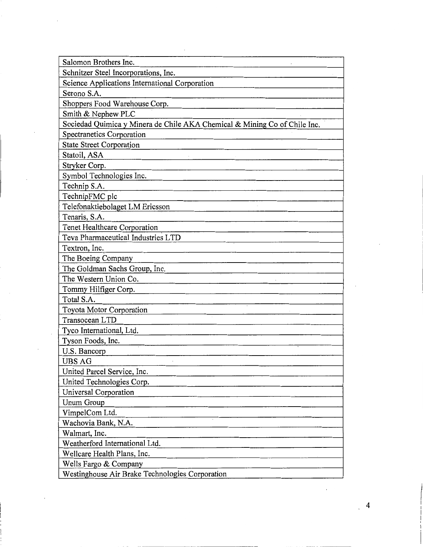| Salomon Brothers Inc.                                                     |  |
|---------------------------------------------------------------------------|--|
| Schnitzer Steel Incorporations, Inc.                                      |  |
| Science Applications International Corporation                            |  |
| Serono S.A.                                                               |  |
| Shoppers Food Warehouse Corp.                                             |  |
| Smith & Nephew PLC                                                        |  |
| Sociedad Quimica y Minera de Chile AKA Chemical & Mining Co of Chile Inc. |  |
| Spectranetics Corporation                                                 |  |
| <b>State Street Corporation</b>                                           |  |
| Statoil, ASA                                                              |  |
| Stryker Corp.                                                             |  |
| Symbol Technologies Inc.                                                  |  |
| Technip S.A.                                                              |  |
| TechnipFMC plc                                                            |  |
| Telefonaktiebolaget LM Ericsson                                           |  |
| Tenaris, S.A.                                                             |  |
| Tenet Healthcare Corporation                                              |  |
| Teva Pharmaceutical Industries LTD                                        |  |
| Textron, Inc.                                                             |  |
| The Boeing Company                                                        |  |
| The Goldman Sachs Group, Inc.                                             |  |
| The Western Union Co.                                                     |  |
| Tommy Hilfiger Corp.                                                      |  |
| Total S.A.                                                                |  |
| Toyota Motor Corporation                                                  |  |
| Transocean LTD                                                            |  |
| Tyco International, Ltd.                                                  |  |
| Tyson Foods, Inc.                                                         |  |
| U.S. Bancorp                                                              |  |
| <b>UBS AG</b>                                                             |  |
| United Parcel Service, Inc.                                               |  |
| United Technologies Corp.                                                 |  |
| Universal Corporation                                                     |  |
| Unum Group                                                                |  |
| VimpelCom Ltd.                                                            |  |
| Wachovia Bank, N.A.                                                       |  |
| Walmart, Inc.                                                             |  |
| Weatherford International Ltd.                                            |  |
| Wellcare Health Plans, Inc.                                               |  |
| Wells Fargo & Company                                                     |  |
| Westinghouse Air Brake Technologies Corporation                           |  |

 $\sim 10^{-11}$ 

 $\sim$ 

 $\mathcal{L}^{(1)}$ 

4

 $\mathbf{r}$ 

 $\bar{\beta}$